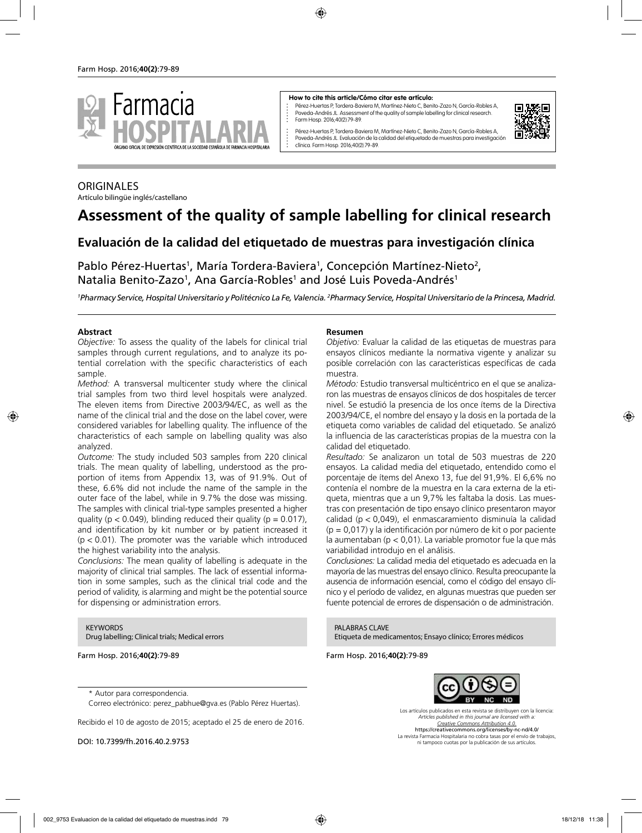

#### **How to cite this article/Cómo citar este artículo:**

Pérez-Huertas P, Tordera-Baviera M, Martínez-Nieto C, Benito-Zazo N, García-Robles A, Poveda-Andrés JL. Assessment of the quality of sample labelling for clinical research. Farm Hosp. 2016;40(2):79-89.



Pérez-Huertas P, Tordera-Baviera M, Martínez-Nieto C, Benito-Zazo N, García-Robles A, Poveda-Andrés JL. Evaluación de la calidad del etiquetado de muestras para investigación clínica. Farm Hosp. 2016;40(2):79-89.

### **ORIGINALES**

Artículo bilingüe inglés/castellano

# **Assessment of the quality of sample labelling for clinical research**

## **Evaluación de la calidad del etiquetado de muestras para investigación clínica**

Pablo Pérez-Huertas<sup>1</sup>, María Tordera-Baviera<sup>1</sup>, Concepción Martínez-Nieto<sup>2</sup>, Natalia Benito-Zazo<sup>1</sup>, Ana García-Robles<sup>1</sup> and José Luis Poveda-Andrés<sup>1</sup>

<sup>1</sup>Pharmacy Service, Hospital Universitario y Politécnico La Fe, Valencia. <sup>2</sup>Pharmacy Service, Hospital Universitario de la Princesa, Madrid.

#### **Abstract**

*Objective:* To assess the quality of the labels for clinical trial samples through current regulations, and to analyze its potential correlation with the specific characteristics of each sample.

*Method:* A transversal multicenter study where the clinical trial samples from two third level hospitals were analyzed. The eleven items from Directive 2003/94/EC, as well as the name of the clinical trial and the dose on the label cover, were considered variables for labelling quality. The influence of the characteristics of each sample on labelling quality was also analyzed.

*Outcome:* The study included 503 samples from 220 clinical trials. The mean quality of labelling, understood as the proportion of items from Appendix 13, was of 91.9%. Out of these, 6.6% did not include the name of the sample in the outer face of the label, while in 9.7% the dose was missing. The samples with clinical trial-type samples presented a higher quality ( $p < 0.049$ ), blinding reduced their quality ( $p = 0.017$ ), and identification by kit number or by patient increased it  $(p < 0.01)$ . The promoter was the variable which introduced the highest variability into the analysis.

*Conclusions:* The mean quality of labelling is adequate in the majority of clinical trial samples. The lack of essential information in some samples, such as the clinical trial code and the period of validity, is alarming and might be the potential source for dispensing or administration errors.

**KEYWORDS** Drug labelling; Clinical trials; Medical errors

Farm Hosp. 2016;**40(2)**:79-89

#### **Resumen**

*Objetivo:* Evaluar la calidad de las etiquetas de muestras para ensayos clínicos mediante la normativa vigente y analizar su posible correlación con las características específicas de cada muestra.

*Método:* Estudio transversal multicéntrico en el que se analizaron las muestras de ensayos clínicos de dos hospitales de tercer nivel. Se estudió la presencia de los once ítems de la Directiva 2003/94/CE, el nombre del ensayo y la dosis en la portada de la etiqueta como variables de calidad del etiquetado. Se analizó la influencia de las características propias de la muestra con la calidad del etiquetado.

*Resultado:* Se analizaron un total de 503 muestras de 220 ensayos. La calidad media del etiquetado, entendido como el porcentaje de ítems del Anexo 13, fue del 91,9%. El 6,6% no contenía el nombre de la muestra en la cara externa de la etiqueta, mientras que a un 9,7% les faltaba la dosis. Las muestras con presentación de tipo ensayo clínico presentaron mayor calidad (p < 0,049), el enmascaramiento disminuía la calidad (p = 0,017) y la identificación por número de kit o por paciente la aumentaban (p < 0,01). La variable promotor fue la que más variabilidad introdujo en el análisis.

*Conclusiones:* La calidad media del etiquetado es adecuada en la mayoría de las muestras del ensayo clínico. Resulta preocupante la ausencia de información esencial, como el código del ensayo clínico y el período de validez, en algunas muestras que pueden ser fuente potencial de errores de dispensación o de administración.

PALABRAS CLAVE Etiqueta de medicamentos; Ensayo clínico; Errores médicos

Farm Hosp. 2016;**40(2)**:79-89



\* Autor para correspondencia.

Correo electrónico: perez\_pabhue@gva.es (Pablo Pérez Huertas).

Recibido el 10 de agosto de 2015; aceptado el 25 de enero de 2016.

DOI: 10.7399/fh.2016.40.2.9753

Los artículos publicados en esta revista se distribuyen con la licencia: *Articles published in this journal are licensed with a: Creative Commons Attribution 4.0.* https://creativecommons.org/licenses/by-nc-nd/4.0/ La revista Farmacia Hospitalaria no cobra tasas por el envío de trabajos, ni tampoco cuotas por la publicación de sus artículos.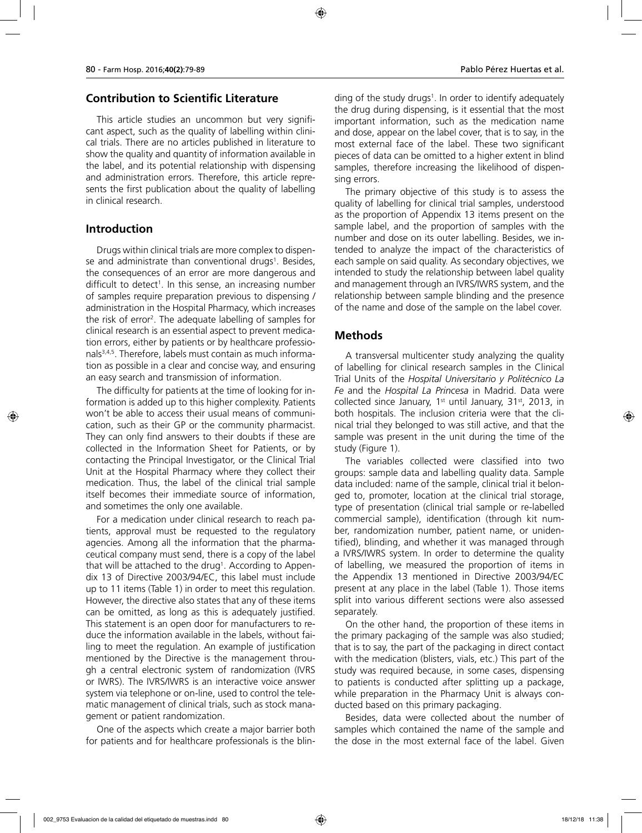#### **Contribution to Scientific Literature**

This article studies an uncommon but very significant aspect, such as the quality of labelling within clinical trials. There are no articles published in literature to show the quality and quantity of information available in the label, and its potential relationship with dispensing and administration errors. Therefore, this article represents the first publication about the quality of labelling in clinical research.

#### **Introduction**

Drugs within clinical trials are more complex to dispense and administrate than conventional drugs1. Besides, the consequences of an error are more dangerous and difficult to detect<sup>1</sup>. In this sense, an increasing number of samples require preparation previous to dispensing / administration in the Hospital Pharmacy, which increases the risk of error<sup>2</sup>. The adequate labelling of samples for clinical research is an essential aspect to prevent medication errors, either by patients or by healthcare professionals3,4,5. Therefore, labels must contain as much information as possible in a clear and concise way, and ensuring an easy search and transmission of information.

The difficulty for patients at the time of looking for information is added up to this higher complexity. Patients won't be able to access their usual means of communication, such as their GP or the community pharmacist. They can only find answers to their doubts if these are collected in the Information Sheet for Patients, or by contacting the Principal Investigator, or the Clinical Trial Unit at the Hospital Pharmacy where they collect their medication. Thus, the label of the clinical trial sample itself becomes their immediate source of information, and sometimes the only one available.

For a medication under clinical research to reach patients, approval must be requested to the regulatory agencies. Among all the information that the pharmaceutical company must send, there is a copy of the label that will be attached to the drug<sup>1</sup>. According to Appendix 13 of Directive 2003/94/EC, this label must include up to 11 items (Table 1) in order to meet this regulation. However, the directive also states that any of these items can be omitted, as long as this is adequately justified. This statement is an open door for manufacturers to reduce the information available in the labels, without failing to meet the regulation. An example of justification mentioned by the Directive is the management through a central electronic system of randomization (IVRS or IWRS). The IVRS/IWRS is an interactive voice answer system via telephone or on-line, used to control the telematic management of clinical trials, such as stock management or patient randomization.

One of the aspects which create a major barrier both for patients and for healthcare professionals is the blin-

ding of the study drugs<sup>1</sup>. In order to identify adequately the drug during dispensing, is it essential that the most important information, such as the medication name and dose, appear on the label cover, that is to say, in the most external face of the label. These two significant pieces of data can be omitted to a higher extent in blind samples, therefore increasing the likelihood of dispensing errors.

The primary objective of this study is to assess the quality of labelling for clinical trial samples, understood as the proportion of Appendix 13 items present on the sample label, and the proportion of samples with the number and dose on its outer labelling. Besides, we intended to analyze the impact of the characteristics of each sample on said quality. As secondary objectives, we intended to study the relationship between label quality and management through an IVRS/IWRS system, and the relationship between sample blinding and the presence of the name and dose of the sample on the label cover.

### **Methods**

A transversal multicenter study analyzing the quality of labelling for clinical research samples in the Clinical Trial Units of the *Hospital Universitario y Politécnico La Fe* and the *Hospital La Princesa* in Madrid. Data were collected since January,  $1<sup>st</sup>$  until January,  $31<sup>st</sup>$ , 2013, in both hospitals. The inclusion criteria were that the clinical trial they belonged to was still active, and that the sample was present in the unit during the time of the study (Figure 1).

The variables collected were classified into two groups: sample data and labelling quality data. Sample data included: name of the sample, clinical trial it belonged to, promoter, location at the clinical trial storage, type of presentation (clinical trial sample or re-labelled commercial sample), identification (through kit number, randomization number, patient name, or unidentified), blinding, and whether it was managed through a IVRS/IWRS system. In order to determine the quality of labelling, we measured the proportion of items in the Appendix 13 mentioned in Directive 2003/94/EC present at any place in the label (Table 1). Those items split into various different sections were also assessed separately.

On the other hand, the proportion of these items in the primary packaging of the sample was also studied; that is to say, the part of the packaging in direct contact with the medication (blisters, vials, etc.) This part of the study was required because, in some cases, dispensing to patients is conducted after splitting up a package, while preparation in the Pharmacy Unit is always conducted based on this primary packaging.

Besides, data were collected about the number of samples which contained the name of the sample and the dose in the most external face of the label. Given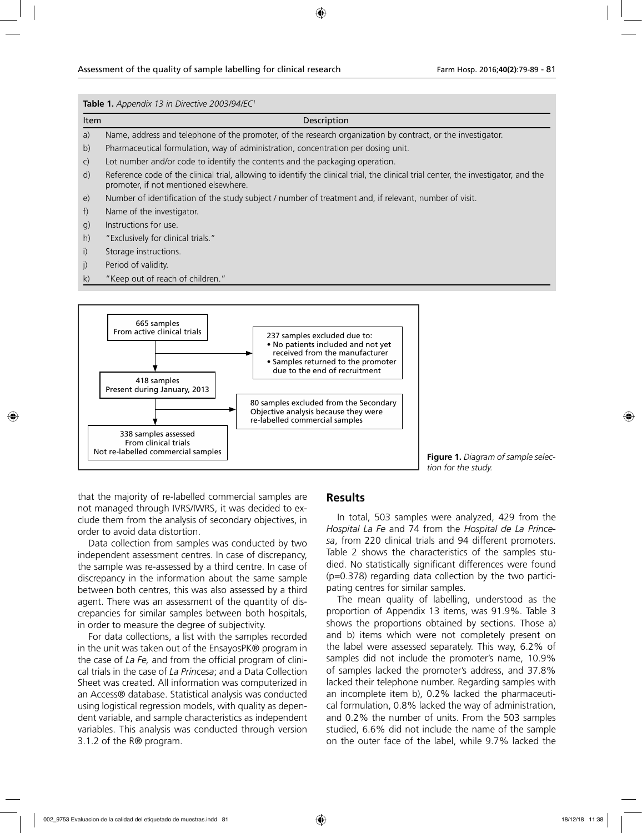#### **Table 1.** *Appendix 13 in Directive 2003/94/EC1*





**Figure 1.** *Diagram of sample selection for the study.*

that the majority of re-labelled commercial samples are not managed through IVRS/IWRS, it was decided to exclude them from the analysis of secondary objectives, in order to avoid data distortion.

Data collection from samples was conducted by two independent assessment centres. In case of discrepancy, the sample was re-assessed by a third centre. In case of discrepancy in the information about the same sample between both centres, this was also assessed by a third agent. There was an assessment of the quantity of discrepancies for similar samples between both hospitals, in order to measure the degree of subjectivity.

For data collections, a list with the samples recorded in the unit was taken out of the EnsayosPK® program in the case of *La Fe,* and from the official program of clinical trials in the case of *La Princesa*; and a Data Collection Sheet was created. All information was computerized in an Access® database. Statistical analysis was conducted using logistical regression models, with quality as dependent variable, and sample characteristics as independent variables. This analysis was conducted through version 3.1.2 of the R® program.

#### **Results**

In total, 503 samples were analyzed, 429 from the *Hospital La Fe* and 74 from the *Hospital de La Princesa*, from 220 clinical trials and 94 different promoters. Table 2 shows the characteristics of the samples studied. No statistically significant differences were found (p=0.378) regarding data collection by the two participating centres for similar samples.

The mean quality of labelling, understood as the proportion of Appendix 13 items, was 91.9%. Table 3 shows the proportions obtained by sections. Those a) and b) items which were not completely present on the label were assessed separately. This way, 6.2% of samples did not include the promoter's name, 10.9% of samples lacked the promoter's address, and 37.8% lacked their telephone number. Regarding samples with an incomplete item b), 0.2% lacked the pharmaceutical formulation, 0.8% lacked the way of administration, and 0.2% the number of units. From the 503 samples studied, 6.6% did not include the name of the sample on the outer face of the label, while 9.7% lacked the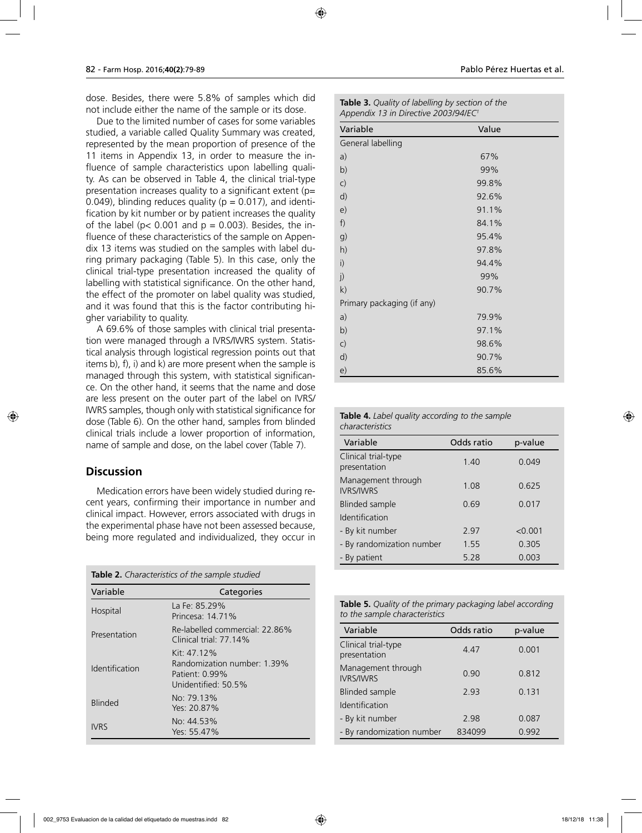dose. Besides, there were 5.8% of samples which did not include either the name of the sample or its dose.

Due to the limited number of cases for some variables studied, a variable called Quality Summary was created, represented by the mean proportion of presence of the 11 items in Appendix 13, in order to measure the influence of sample characteristics upon labelling quality. As can be observed in Table 4, the clinical trial-type presentation increases quality to a significant extent ( $p=$ 0.049), blinding reduces quality ( $p = 0.017$ ), and identification by kit number or by patient increases the quality of the label ( $p < 0.001$  and  $p = 0.003$ ). Besides, the influence of these characteristics of the sample on Appendix 13 items was studied on the samples with label during primary packaging (Table 5). In this case, only the clinical trial-type presentation increased the quality of labelling with statistical significance. On the other hand, the effect of the promoter on label quality was studied, and it was found that this is the factor contributing higher variability to quality.

A 69.6% of those samples with clinical trial presentation were managed through a IVRS/IWRS system. Statistical analysis through logistical regression points out that items b), f), i) and k) are more present when the sample is managed through this system, with statistical significance. On the other hand, it seems that the name and dose are less present on the outer part of the label on IVRS/ IWRS samples, though only with statistical significance for dose (Table 6). On the other hand, samples from blinded clinical trials include a lower proportion of information, name of sample and dose, on the label cover (Table 7).

#### **Discussion**

Medication errors have been widely studied during recent years, confirming their importance in number and clinical impact. However, errors associated with drugs in the experimental phase have not been assessed because, being more regulated and individualized, they occur in

| Table 2. Characteristics of the sample studied |  |  |
|------------------------------------------------|--|--|
|------------------------------------------------|--|--|

| Variable       | Categories                                                                             |
|----------------|----------------------------------------------------------------------------------------|
| Hospital       | La Fe: 85.29%<br>Princesa: 14.71%                                                      |
| Presentation   | Re-labelled commercial: 22 86%<br>Clinical trial: $77.14\%$                            |
| Identification | Kit: 47 12%<br>Randomization number: 1.39%<br>Patient: $0.99\%$<br>Unidentified: 50.5% |
| <b>Blinded</b> | No: 79.13%<br>Yes: 20.87%                                                              |
| <b>IVRS</b>    | No: 44.53%<br>Yes: 55.47%                                                              |

| <b>Table 3.</b> Quality of labelling by section of the |
|--------------------------------------------------------|
| Appendix 13 in Directive 2003/94/EC'                   |

| Variable                   | Value |  |
|----------------------------|-------|--|
| General labelling          |       |  |
| a)                         | 67%   |  |
| b)                         | 99%   |  |
| C)                         | 99.8% |  |
| d)                         | 92.6% |  |
| e)                         | 91.1% |  |
| f)                         | 84.1% |  |
| g)                         | 95.4% |  |
| h)                         | 97.8% |  |
| i)                         | 94.4% |  |
| j)                         | 99%   |  |
| k)                         | 90.7% |  |
| Primary packaging (if any) |       |  |
| a)                         | 79.9% |  |
| b)                         | 97.1% |  |
| $\mathsf{C}$               | 98.6% |  |
| d)                         | 90.7% |  |
| e)                         | 85.6% |  |

| <b>Table 4.</b> Label quality according to the sample |
|-------------------------------------------------------|
| characteristics                                       |

| Variable                               | Odds ratio | p-value |
|----------------------------------------|------------|---------|
| Clinical trial-type<br>presentation    | 1.40       | 0.049   |
| Management through<br><b>IVRS/IWRS</b> | 1.08       | 0.625   |
| Blinded sample                         | 0.69       | 0.017   |
| Identification                         |            |         |
| - By kit number                        | 2.97       | < 0.001 |
| - By randomization number              | 1.55       | 0.305   |
| - By patient                           | 5.28       | 0.003   |
|                                        |            |         |

**Table 5.** *Quality of the primary packaging label according to the sample characteristics*

| Variable                               | Odds ratio | p-value |
|----------------------------------------|------------|---------|
| Clinical trial-type<br>presentation    | 4.47       | 0.001   |
| Management through<br><b>IVRS/IWRS</b> | 0.90       | 0.812   |
| Blinded sample                         | 2.93       | 0.131   |
| Identification                         |            |         |
| - By kit number                        | 298        | 0.087   |
| - By randomization number              | 834099     | 0.992   |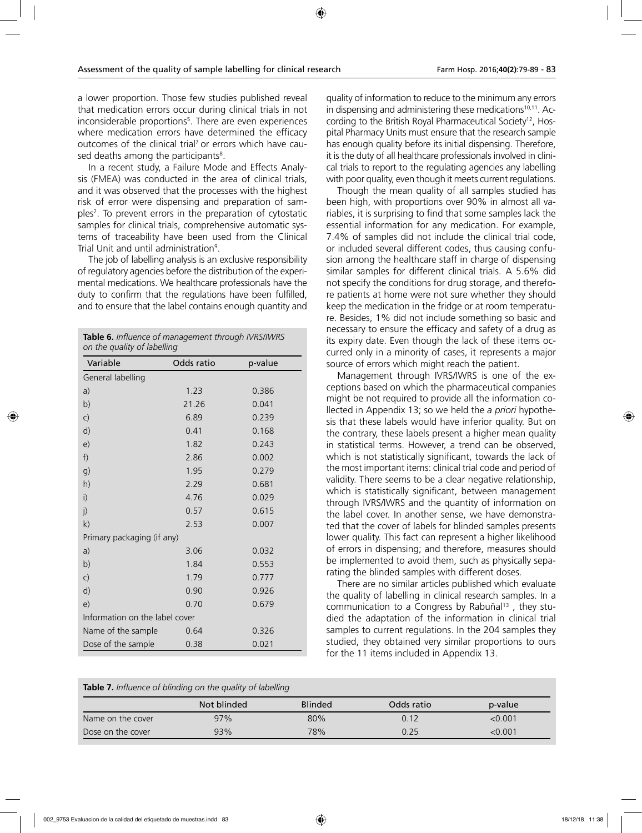a lower proportion. Those few studies published reveal that medication errors occur during clinical trials in not inconsiderable proportions<sup>5</sup>. There are even experiences where medication errors have determined the efficacy outcomes of the clinical trial<sup>7</sup> or errors which have caused deaths among the participants $^{\rm 8}.$ 

In a recent study, a Failure Mode and Effects Analysis (FMEA) was conducted in the area of clinical trials, and it was observed that the processes with the highest risk of error were dispensing and preparation of samples<sup>2</sup>. To prevent errors in the preparation of cytostatic samples for clinical trials, comprehensive automatic systems of traceability have been used from the Clinical Trial Unit and until administration9 .

The job of labelling analysis is an exclusive responsibility of regulatory agencies before the distribution of the experimental medications. We healthcare professionals have the duty to confirm that the regulations have been fulfilled, and to ensure that the label contains enough quantity and

| Table 6. Influence of management through IVRS/IWRS<br>on the quality of labelling |            |         |  |  |
|-----------------------------------------------------------------------------------|------------|---------|--|--|
| Variable                                                                          | Odds ratio | p-value |  |  |
| General labelling                                                                 |            |         |  |  |
| a)                                                                                | 1.23       | 0.386   |  |  |
| b)                                                                                | 21.26      | 0.041   |  |  |
| $\mathsf{C}$                                                                      | 6.89       | 0.239   |  |  |
| d)                                                                                | 0.41       | 0.168   |  |  |
| e)                                                                                | 1.82       | 0.243   |  |  |
| f)                                                                                | 2.86       | 0.002   |  |  |
| g)                                                                                | 1.95       | 0.279   |  |  |
| h)                                                                                | 2.29       | 0.681   |  |  |
| $\mathsf{i}$                                                                      | 4.76       | 0.029   |  |  |
| j)                                                                                | 0.57       | 0.615   |  |  |
| k)                                                                                | 2.53       | 0.007   |  |  |
| Primary packaging (if any)                                                        |            |         |  |  |
| a)                                                                                | 3.06       | 0.032   |  |  |
| b)                                                                                | 1.84       | 0.553   |  |  |
| $\mathsf{C}$                                                                      | 1.79       | 0.777   |  |  |
| d)                                                                                | 0.90       | 0.926   |  |  |
| e)                                                                                | 0.70       | 0.679   |  |  |
| Information on the label cover                                                    |            |         |  |  |
| Name of the sample                                                                | 0.64       | 0.326   |  |  |
| Dose of the sample                                                                | 0.38       | 0.021   |  |  |

quality of information to reduce to the minimum any errors in dispensing and administering these medications<sup>10,11</sup>. According to the British Royal Pharmaceutical Society12, Hospital Pharmacy Units must ensure that the research sample has enough quality before its initial dispensing. Therefore, it is the duty of all healthcare professionals involved in clinical trials to report to the regulating agencies any labelling with poor quality, even though it meets current regulations.

Though the mean quality of all samples studied has been high, with proportions over 90% in almost all variables, it is surprising to find that some samples lack the essential information for any medication. For example, 7.4% of samples did not include the clinical trial code, or included several different codes, thus causing confusion among the healthcare staff in charge of dispensing similar samples for different clinical trials. A 5.6% did not specify the conditions for drug storage, and therefore patients at home were not sure whether they should keep the medication in the fridge or at room temperature. Besides, 1% did not include something so basic and necessary to ensure the efficacy and safety of a drug as its expiry date. Even though the lack of these items occurred only in a minority of cases, it represents a major source of errors which might reach the patient.

Management through IVRS/IWRS is one of the exceptions based on which the pharmaceutical companies might be not required to provide all the information collected in Appendix 13; so we held the *a priori* hypothesis that these labels would have inferior quality. But on the contrary, these labels present a higher mean quality in statistical terms. However, a trend can be observed, which is not statistically significant, towards the lack of the most important items: clinical trial code and period of validity. There seems to be a clear negative relationship, which is statistically significant, between management through IVRS/IWRS and the quantity of information on the label cover. In another sense, we have demonstrated that the cover of labels for blinded samples presents lower quality. This fact can represent a higher likelihood of errors in dispensing; and therefore, measures should be implemented to avoid them, such as physically separating the blinded samples with different doses.

There are no similar articles published which evaluate the quality of labelling in clinical research samples. In a communication to a Congress by Rabuñal<sup>13</sup>, they studied the adaptation of the information in clinical trial samples to current regulations. In the 204 samples they studied, they obtained very similar proportions to ours for the 11 items included in Appendix 13.

**Table 7.** *Influence of blinding on the quality of labelling*

|                   | Not blinded | <b>Blinded</b> | Odds ratio | p-value       |
|-------------------|-------------|----------------|------------|---------------|
| Name on the cover | 97%         | 80%            | 0.12       | $<$ 0.001 $<$ |
| Dose on the cover | 93%         | 78%            | 0.25       | <0.001        |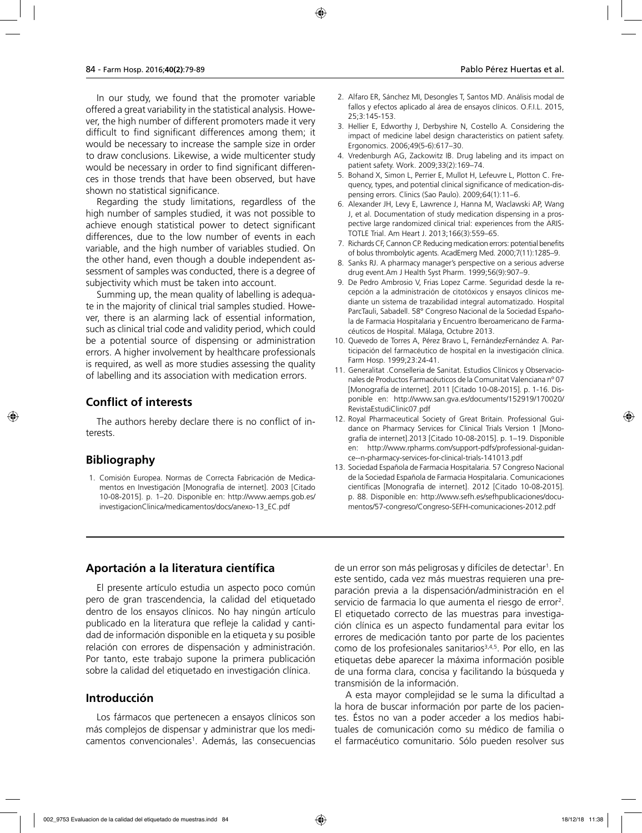In our study, we found that the promoter variable offered a great variability in the statistical analysis. However, the high number of different promoters made it very difficult to find significant differences among them; it would be necessary to increase the sample size in order to draw conclusions. Likewise, a wide multicenter study would be necessary in order to find significant differences in those trends that have been observed, but have shown no statistical significance.

Regarding the study limitations, regardless of the high number of samples studied, it was not possible to achieve enough statistical power to detect significant differences, due to the low number of events in each variable, and the high number of variables studied. On the other hand, even though a double independent assessment of samples was conducted, there is a degree of subjectivity which must be taken into account.

Summing up, the mean quality of labelling is adequate in the majority of clinical trial samples studied. However, there is an alarming lack of essential information, such as clinical trial code and validity period, which could be a potential source of dispensing or administration errors. A higher involvement by healthcare professionals is required, as well as more studies assessing the quality of labelling and its association with medication errors.

### **Conflict of interests**

The authors hereby declare there is no conflict of interests.

### **Bibliography**

1. Comisión Europea. Normas de Correcta Fabricación de Medicamentos en Investigación [Monografía de internet]. 2003 [Citado 10-08-2015]. p. 1–20. Disponible en: http://www.aemps.gob.es/ investigacionClinica/medicamentos/docs/anexo-13\_EC.pdf

- 2. Alfaro ER, Sánchez MI, Desongles T, Santos MD. Análisis modal de fallos y efectos aplicado al área de ensayos clínicos. O.F.I.L. 2015, 25;3:145-153.
- 3. Hellier E, Edworthy J, Derbyshire N, Costello A. Considering the impact of medicine label design characteristics on patient safety. Ergonomics. 2006;49(5-6):617–30.
- 4. Vredenburgh AG, Zackowitz IB. Drug labeling and its impact on patient safety. Work. 2009;33(2):169–74.
- 5. Bohand X, Simon L, Perrier E, Mullot H, Lefeuvre L, Plotton C. Frequency, types, and potential clinical significance of medication-dispensing errors. Clinics (Sao Paulo). 2009;64(1):11–6.
- 6. Alexander JH, Levy E, Lawrence J, Hanna M, Waclawski AP, Wang J, et al. Documentation of study medication dispensing in a prospective large randomized clinical trial: experiences from the ARIS-TOTLE Trial. Am Heart J. 2013;166(3):559–65.
- 7. Richards CF, Cannon CP. Reducing medication errors: potential benefits of bolus thrombolytic agents. AcadEmerg Med. 2000;7(11):1285–9.
- 8. Sanks RJ. A pharmacy manager's perspective on a serious adverse drug event.Am J Health Syst Pharm. 1999;56(9):907–9.
- 9. De Pedro Ambrosio V, Frias Lopez Carme. Seguridad desde la recepción a la administración de citotóxicos y ensayos clínicos mediante un sistema de trazabilidad integral automatizado. Hospital ParcTauli, Sabadell. 58° Congreso Nacional de la Sociedad Española de Farmacia Hospitalaria y Encuentro Iberoamericano de Farmacéuticos de Hospital. Málaga, Octubre 2013.
- 10. Quevedo de Torres A, Pérez Bravo L, FernándezFernández A. Participación del farmacéutico de hospital en la investigación clínica. Farm Hosp. 1999;23:24-41.
- 11. Generalitat .Conselleria de Sanitat. Estudios Clínicos y Observacionales de Productos Farmacéuticos de la Comunitat Valenciana nº 07 [Monografía de internet]. 2011 [Citado 10-08-2015]. p. 1-16. Disponible en: http://www.san.gva.es/documents/152919/170020/ RevistaEstudiClinic07.pdf
- 12. Royal Pharmaceutical Society of Great Britain. Professional Guidance on Pharmacy Services for Clinical Trials Version 1 [Monografía de internet].2013 [Citado 10-08-2015]. p. 1–19. Disponible en: http://www.rpharms.com/support-pdfs/professional-guidance--n-pharmacy-services-for-clinical-trials-141013.pdf
- 13. Sociedad Española de Farmacia Hospitalaria. 57 Congreso Nacional de la Sociedad Española de Farmacia Hospitalaria. Comunicaciones científicas [Monografía de internet]. 2012 [Citado 10-08-2015]. p. 88. Disponible en: http://www.sefh.es/sefhpublicaciones/documentos/57-congreso/Congreso-SEFH-comunicaciones-2012.pdf

### **Aportación a la literatura científica**

El presente artículo estudia un aspecto poco común pero de gran trascendencia, la calidad del etiquetado dentro de los ensayos clínicos. No hay ningún artículo publicado en la literatura que refleje la calidad y cantidad de información disponible en la etiqueta y su posible relación con errores de dispensación y administración. Por tanto, este trabajo supone la primera publicación sobre la calidad del etiquetado en investigación clínica.

### **Introducción**

Los fármacos que pertenecen a ensayos clínicos son más complejos de dispensar y administrar que los medicamentos convencionales1 . Además, las consecuencias

de un error son más peligrosas y difíciles de detectar<sup>1</sup>. En este sentido, cada vez más muestras requieren una preparación previa a la dispensación/administración en el servicio de farmacia lo que aumenta el riesgo de error<sup>2</sup>. El etiquetado correcto de las muestras para investigación clínica es un aspecto fundamental para evitar los errores de medicación tanto por parte de los pacientes como de los profesionales sanitarios<sup>3,4,5</sup>. Por ello, en las etiquetas debe aparecer la máxima información posible de una forma clara, concisa y facilitando la búsqueda y transmisión de la información.

A esta mayor complejidad se le suma la dificultad a la hora de buscar información por parte de los pacientes. Éstos no van a poder acceder a los medios habituales de comunicación como su médico de familia o el farmacéutico comunitario. Sólo pueden resolver sus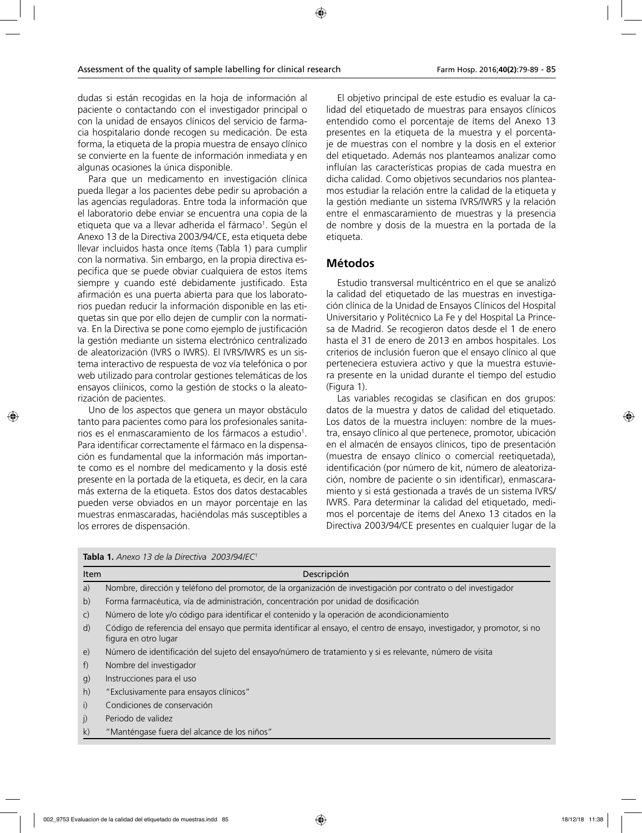dudas si están recogidas en la hoja de información al paciente o contactando con el investigador principal o con la unidad de ensayos clínicos del servicio de farmacia hospitalario donde recogen su medicación. De esta forma, la etiqueta de la propia muestra de ensayo clínico se convierte en la fuente de información inmediata y en algunas ocasiones la única disponible.

Para que un medicamento en investigación clínica pueda llegar a los pacientes debe pedir su aprobación a las agencias reguladoras. Entre toda la información que el laboratorio debe enviar se encuentra una copia de la etiqueta que va a llevar adherida el fármaco<sup>1</sup>. Según el Anexo 13 de la Directiva 2003/94/CE, esta etiqueta debe llevar incluidos hasta once ítems (Tabla 1) para cumplir con la normativa. Sin embargo, en la propia directiva especifica que se puede obviar cualquiera de estos ítems siempre y cuando esté debidamente justificado. Esta afirmación es una puerta abierta para que los laboratorios puedan reducir la información disponible en las etiquetas sin que por ello dejen de cumplir con la normativa. En la Directiva se pone como ejemplo de justificación la gestión mediante un sistema electrónico centralizado de aleatorización (IVRS o IWRS). El IVRS/IWRS es un sistema interactivo de respuesta de voz vía telefónica o por web utilizado para controlar gestiones telemáticas de los ensayos cliínicos, como la gestión de stocks o la aleatorización de pacientes.

Uno de los aspectos que genera un mayor obstáculo tanto para pacientes como para los profesionales sanitarios es el enmascaramiento de los fármacos a estudio<sup>1</sup>. Para identificar correctamente el fármaco en la dispensación es fundamental que la información más importante como es el nombre del medicamento y la dosis esté presente en la portada de la etiqueta, es decir, en la cara más externa de la etiqueta. Estos dos datos destacables pueden verse obviados en un mayor porcentaje en las muestras enmascaradas, haciéndolas más susceptibles a los errores de dispensación.

El objetivo principal de este estudio es evaluar la calidad del etiquetado de muestras para ensayos clínicos entendido como el porcentaje de ítems del Anexo 13 presentes en la etiqueta de la muestra y el porcentaje de muestras con el nombre y la dosis en el exterior del etiquetado. Además nos planteamos analizar como influían las características propias de cada muestra en dicha calidad. Como objetivos secundarios nos planteamos estudiar la relación entre la calidad de la etiqueta y la gestión mediante un sistema IVRS/IWRS y la relación entre el enmascaramiento de muestras y la presencia de nombre y dosis de la muestra en la portada de la etiqueta.

### **Métodos**

Estudio transversal multicéntrico en el que se analizó la calidad del etiquetado de las muestras en investigación clínica de la Unidad de Ensayos Clínicos del Hospital Universitario y Politécnico La Fe y del Hospital La Princesa de Madrid. Se recogieron datos desde el 1 de enero hasta el 31 de enero de 2013 en ambos hospitales. Los criterios de inclusión fueron que el ensayo clínico al que perteneciera estuviera activo y que la muestra estuviera presente en la unidad durante el tiempo del estudio (Figura 1).

Las variables recogidas se clasifican en dos grupos: datos de la muestra y datos de calidad del etiquetado. Los datos de la muestra incluyen: nombre de la muestra, ensayo clínico al que pertenece, promotor, ubicación en el almacén de ensayos clínicos, tipo de presentación (muestra de ensayo clínico o comercial reetiquetada), identificación (por número de kit, número de aleatorización, nombre de paciente o sin identificar), enmascaramiento y si está gestionada a través de un sistema IVRS/ IWRS. Para determinar la calidad del etiquetado, medimos el porcentaje de ítems del Anexo 13 citados en la Directiva 2003/94/CE presentes en cualquier lugar de la

| Item         | Descripción                                                                                                                                     |
|--------------|-------------------------------------------------------------------------------------------------------------------------------------------------|
| a)           | Nombre, dirección y teléfono del promotor, de la organización de investigación por contrato o del investigador                                  |
| b)           | Forma farmacéutica, vía de administración, concentración por unidad de dosificación                                                             |
| $\mathsf{C}$ | Número de lote y/o código para identificar el contenido y la operación de acondicionamiento                                                     |
| d)           | Código de referencia del ensayo que permita identificar al ensayo, el centro de ensayo, investigador, y promotor, si no<br>figura en otro lugar |
| e)           | Número de identificación del sujeto del ensayo/número de tratamiento y si es relevante, número de visita                                        |
| f)           | Nombre del investigador                                                                                                                         |
| q)           | Instrucciones para el uso                                                                                                                       |
| h)           | "Exclusivamente para ensayos clínicos"                                                                                                          |
| i)           | Condiciones de conservación                                                                                                                     |
| j)           | Periodo de validez                                                                                                                              |
| k)           | "Manténgase fuera del alcance de los niños"                                                                                                     |

|  | <b>Tabla 1.</b> Anexo 13 de la Directiva 2003/94/EC <sup>1</sup> |  |
|--|------------------------------------------------------------------|--|
|--|------------------------------------------------------------------|--|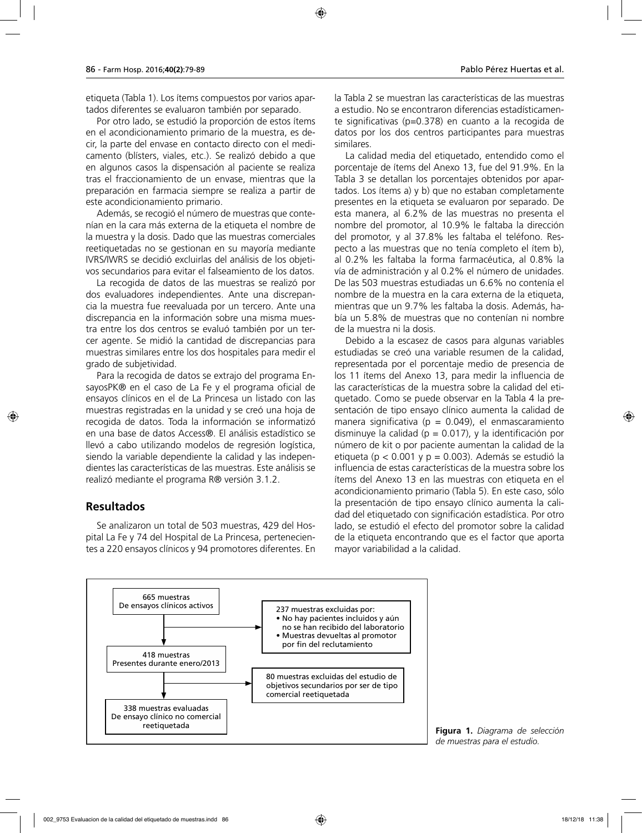etiqueta (Tabla 1). Los ítems compuestos por varios apartados diferentes se evaluaron también por separado.

Por otro lado, se estudió la proporción de estos ítems en el acondicionamiento primario de la muestra, es decir, la parte del envase en contacto directo con el medicamento (blísters, viales, etc.). Se realizó debido a que en algunos casos la dispensación al paciente se realiza tras el fraccionamiento de un envase, mientras que la preparación en farmacia siempre se realiza a partir de este acondicionamiento primario.

Además, se recogió el número de muestras que contenían en la cara más externa de la etiqueta el nombre de la muestra y la dosis. Dado que las muestras comerciales reetiquetadas no se gestionan en su mayoría mediante IVRS/IWRS se decidió excluirlas del análisis de los objetivos secundarios para evitar el falseamiento de los datos.

La recogida de datos de las muestras se realizó por dos evaluadores independientes. Ante una discrepancia la muestra fue reevaluada por un tercero. Ante una discrepancia en la información sobre una misma muestra entre los dos centros se evaluó también por un tercer agente. Se midió la cantidad de discrepancias para muestras similares entre los dos hospitales para medir el grado de subjetividad.

Para la recogida de datos se extrajo del programa EnsayosPK® en el caso de La Fe y el programa oficial de ensayos clínicos en el de La Princesa un listado con las muestras registradas en la unidad y se creó una hoja de recogida de datos. Toda la información se informatizó en una base de datos Access®. El análisis estadístico se llevó a cabo utilizando modelos de regresión logística, siendo la variable dependiente la calidad y las independientes las características de las muestras. Este análisis se realizó mediante el programa R® versión 3.1.2.

### **Resultados**

Se analizaron un total de 503 muestras, 429 del Hospital La Fe y 74 del Hospital de La Princesa, pertenecientes a 220 ensayos clínicos y 94 promotores diferentes. En la Tabla 2 se muestran las características de las muestras a estudio. No se encontraron diferencias estadísticamente significativas (p=0.378) en cuanto a la recogida de datos por los dos centros participantes para muestras similares.

La calidad media del etiquetado, entendido como el porcentaje de ítems del Anexo 13, fue del 91.9%. En la Tabla 3 se detallan los porcentajes obtenidos por apartados. Los ítems a) y b) que no estaban completamente presentes en la etiqueta se evaluaron por separado. De esta manera, al 6.2% de las muestras no presenta el nombre del promotor, al 10.9% le faltaba la dirección del promotor, y al 37.8% les faltaba el teléfono. Respecto a las muestras que no tenía completo el ítem b), al 0.2% les faltaba la forma farmacéutica, al 0.8% la vía de administración y al 0.2% el número de unidades. De las 503 muestras estudiadas un 6.6% no contenía el nombre de la muestra en la cara externa de la etiqueta, mientras que un 9.7% les faltaba la dosis. Además, había un 5.8% de muestras que no contenían ni nombre de la muestra ni la dosis.

Debido a la escasez de casos para algunas variables estudiadas se creó una variable resumen de la calidad, representada por el porcentaje medio de presencia de los 11 ítems del Anexo 13, para medir la influencia de las características de la muestra sobre la calidad del etiquetado. Como se puede observar en la Tabla 4 la presentación de tipo ensayo clínico aumenta la calidad de manera significativa ( $p = 0.049$ ), el enmascaramiento disminuye la calidad ( $p = 0.017$ ), y la identificación por número de kit o por paciente aumentan la calidad de la etiqueta ( $p < 0.001$  y  $p = 0.003$ ). Además se estudió la influencia de estas características de la muestra sobre los ítems del Anexo 13 en las muestras con etiqueta en el acondicionamiento primario (Tabla 5). En este caso, sólo la presentación de tipo ensayo clínico aumenta la calidad del etiquetado con significación estadística. Por otro lado, se estudió el efecto del promotor sobre la calidad de la etiqueta encontrando que es el factor que aporta mayor variabilidad a la calidad.



**Figura 1.** *Diagrama de selección de muestras para el estudio.*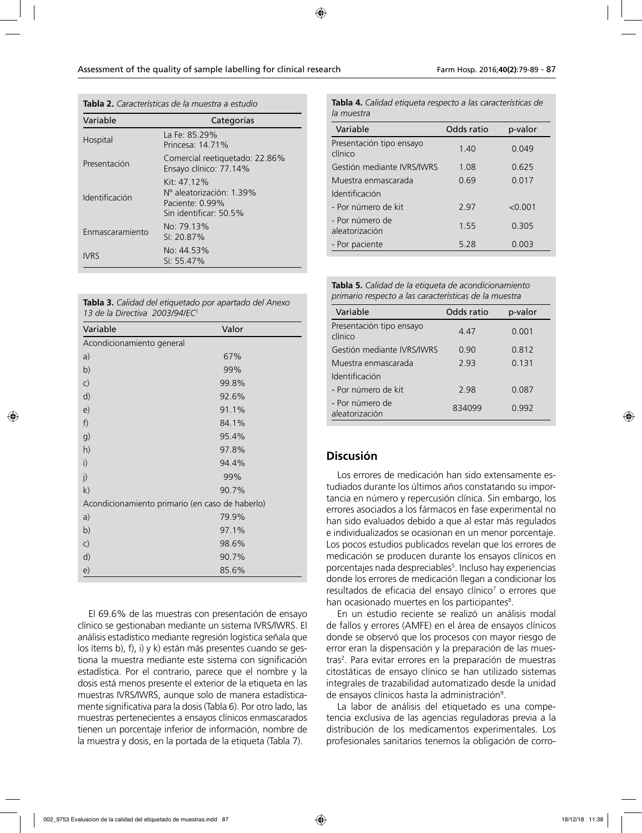**Tabla 2.** *Características de la muestra a estudio*

| Variable        | Categorías                                                                            |
|-----------------|---------------------------------------------------------------------------------------|
| Hospital        | La Fe: 85.29%<br>Princesa: 14.71%                                                     |
| Presentación    | Comercial reetiquetado: 22.86%<br>Ensayo clínico: 77.14%                              |
| Identificación  | Kit: 47, 12%<br>Nº aleatorización: 1.39%<br>Paciente: 0.99%<br>Sin identificar: 50.5% |
| Enmascaramiento | No: 79.13%<br>Sí: 20.87%                                                              |
| <b>IVRS</b>     | No: 44.53%<br>$Si: 55.47\%$                                                           |

| Tabla 3. Calidad del etiquetado por apartado del Anexo |
|--------------------------------------------------------|
| 13 de la Directiva 2003/94/EC <sup>1</sup>             |

| Variable                                        | Valor |
|-------------------------------------------------|-------|
| Acondicionamiento general                       |       |
| a)                                              | 67%   |
| b)                                              | 99%   |
| $\mathsf{C}$                                    | 99.8% |
| d)                                              | 92.6% |
| e)                                              | 91.1% |
| f)                                              | 84.1% |
| g)                                              | 95.4% |
| h)                                              | 97.8% |
| i)                                              | 94.4% |
| j)                                              | 99%   |
| k)                                              | 90.7% |
| Acondicionamiento primario (en caso de haberlo) |       |
| a)                                              | 79.9% |
| b)                                              | 97.1% |
| $\mathsf{C}$                                    | 98.6% |
| d)                                              | 90.7% |
| e)                                              | 85.6% |

El 69.6% de las muestras con presentación de ensayo clínico se gestionaban mediante un sistema IVRS/IWRS. El análisis estadístico mediante regresión logística señala que los ítems b), f), i) y k) están más presentes cuando se gestiona la muestra mediante este sistema con significación estadística. Por el contrario, parece que el nombre y la dosis está menos presente el exterior de la etiqueta en las muestras IVRS/IWRS, aunque solo de manera estadísticamente significativa para la dosis (Tabla 6). Por otro lado, las muestras pertenecientes a ensayos clínicos enmascarados tienen un porcentaje inferior de información, nombre de la muestra y dosis, en la portada de la etiqueta (Tabla 7).

**Tabla 4.** *Calidad etiqueta respecto a las características de la muestra*

| Variable                            | Odds ratio | p-valor |
|-------------------------------------|------------|---------|
| Presentación tipo ensayo<br>clínico | 140        | 0.049   |
| Gestión mediante IVRS/IWRS          | 1.08       | 0.625   |
| Muestra enmascarada                 | 0 69       | 0.017   |
| Identificación                      |            |         |
| - Por número de kit                 | 297        | < 0.001 |
| - Por número de<br>aleatorización   | 1 55       | 0 305   |
| - Por paciente                      | 5.28       | 0.003   |

**Tabla 5.** *Calidad de la etiqueta de acondicionamiento primario respecto a las características de la muestra*

| Variable                            | Odds ratio | p-valor |
|-------------------------------------|------------|---------|
| Presentación tipo ensayo<br>clínico | 447        | 0.001   |
| Gestión mediante IVRS/IWRS          | 0.90       | 0.812   |
| Muestra enmascarada                 | 293        | 0.131   |
| Identificación                      |            |         |
| - Por número de kit                 | 298        | 0.087   |
| - Por número de<br>aleatorización   | 834099     | 0.992   |

#### **Discusión**

Los errores de medicación han sido extensamente estudiados durante los últimos años constatando su importancia en número y repercusión clínica. Sin embargo, los errores asociados a los fármacos en fase experimental no han sido evaluados debido a que al estar más regulados e individualizados se ocasionan en un menor porcentaje. Los pocos estudios publicados revelan que los errores de medicación se producen durante los ensayos clínicos en porcentajes nada despreciables<sup>5</sup>. Incluso hay experiencias donde los errores de medicación llegan a condicionar los resultados de eficacia del ensayo clínico<sup>7</sup> o errores que han ocasionado muertes en los participantes<sup>8</sup>.

En un estudio reciente se realizó un análisis modal de fallos y errores (AMFE) en el área de ensayos clínicos donde se observó que los procesos con mayor riesgo de error eran la dispensación y la preparación de las muestras<sup>2</sup>. Para evitar errores en la preparación de muestras citostáticas de ensayo clínico se han utilizado sistemas integrales de trazabilidad automatizado desde la unidad de ensayos clínicos hasta la administración<sup>9</sup>.

La labor de análisis del etiquetado es una competencia exclusiva de las agencias reguladoras previa a la distribución de los medicamentos experimentales. Los profesionales sanitarios tenemos la obligación de corro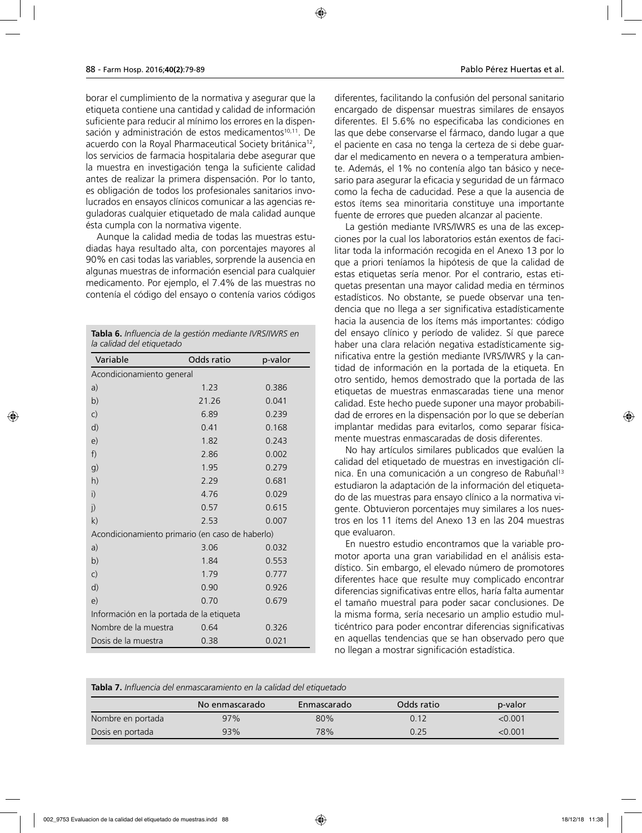borar el cumplimiento de la normativa y asegurar que la etiqueta contiene una cantidad y calidad de información suficiente para reducir al mínimo los errores en la dispensación y administración de estos medicamentos<sup>10,11</sup>. De acuerdo con la Royal Pharmaceutical Society británica<sup>12</sup>, los servicios de farmacia hospitalaria debe asegurar que la muestra en investigación tenga la suficiente calidad antes de realizar la primera dispensación. Por lo tanto, es obligación de todos los profesionales sanitarios involucrados en ensayos clínicos comunicar a las agencias reguladoras cualquier etiquetado de mala calidad aunque ésta cumpla con la normativa vigente.

Aunque la calidad media de todas las muestras estudiadas haya resultado alta, con porcentajes mayores al 90% en casi todas las variables, sorprende la ausencia en algunas muestras de información esencial para cualquier medicamento. Por ejemplo, el 7.4% de las muestras no contenía el código del ensayo o contenía varios códigos

| <b>Tabla 6.</b> Influencia de la gestión mediante IVRS/IWRS en<br>la calidad del etiquetado |            |         |  |  |  |
|---------------------------------------------------------------------------------------------|------------|---------|--|--|--|
| Variable                                                                                    | Odds ratio | p-valor |  |  |  |
| Acondicionamiento general                                                                   |            |         |  |  |  |
| a)                                                                                          | 1.23       | 0.386   |  |  |  |
| b)                                                                                          | 21.26      | 0.041   |  |  |  |
| $\mathsf{C}$                                                                                | 6.89       | 0.239   |  |  |  |
| d)                                                                                          | 0.41       | 0.168   |  |  |  |
| e)                                                                                          | 1.82       | 0.243   |  |  |  |
| f)                                                                                          | 2.86       | 0.002   |  |  |  |
| g)                                                                                          | 1.95       | 0.279   |  |  |  |
| h)                                                                                          | 2.29       | 0.681   |  |  |  |
| i)                                                                                          | 4.76       | 0.029   |  |  |  |
| j)                                                                                          | 0.57       | 0.615   |  |  |  |
| k)                                                                                          | 2.53       | 0.007   |  |  |  |
| Acondicionamiento primario (en caso de haberlo)                                             |            |         |  |  |  |
| a)                                                                                          | 3.06       | 0.032   |  |  |  |
| b)                                                                                          | 1.84       | 0.553   |  |  |  |
| $\mathsf{C}$                                                                                | 1.79       | 0.777   |  |  |  |
| d)                                                                                          | 0.90       | 0.926   |  |  |  |
| e)                                                                                          | 0.70       | 0.679   |  |  |  |
| Información en la portada de la etiqueta                                                    |            |         |  |  |  |
| Nombre de la muestra                                                                        | 0.64       | 0.326   |  |  |  |
| Dosis de la muestra                                                                         | 0.38       | 0.021   |  |  |  |

diferentes, facilitando la confusión del personal sanitario encargado de dispensar muestras similares de ensayos diferentes. El 5.6% no especificaba las condiciones en las que debe conservarse el fármaco, dando lugar a que el paciente en casa no tenga la certeza de si debe guardar el medicamento en nevera o a temperatura ambiente. Además, el 1% no contenía algo tan básico y necesario para asegurar la eficacia y seguridad de un fármaco como la fecha de caducidad. Pese a que la ausencia de estos ítems sea minoritaria constituye una importante fuente de errores que pueden alcanzar al paciente.

La gestión mediante IVRS/IWRS es una de las excepciones por la cual los laboratorios están exentos de facilitar toda la información recogida en el Anexo 13 por lo que a priori teníamos la hipótesis de que la calidad de estas etiquetas sería menor. Por el contrario, estas etiquetas presentan una mayor calidad media en términos estadísticos. No obstante, se puede observar una tendencia que no llega a ser significativa estadísticamente hacia la ausencia de los ítems más importantes: código del ensayo clínico y período de validez. Sí que parece haber una clara relación negativa estadísticamente significativa entre la gestión mediante IVRS/IWRS y la cantidad de información en la portada de la etiqueta. En otro sentido, hemos demostrado que la portada de las etiquetas de muestras enmascaradas tiene una menor calidad. Este hecho puede suponer una mayor probabilidad de errores en la dispensación por lo que se deberían implantar medidas para evitarlos, como separar físicamente muestras enmascaradas de dosis diferentes.

No hay artículos similares publicados que evalúen la calidad del etiquetado de muestras en investigación clínica. En una comunicación a un congreso de Rabuñal<sup>13</sup> estudiaron la adaptación de la información del etiquetado de las muestras para ensayo clínico a la normativa vigente. Obtuvieron porcentajes muy similares a los nuestros en los 11 ítems del Anexo 13 en las 204 muestras que evaluaron.

En nuestro estudio encontramos que la variable promotor aporta una gran variabilidad en el análisis estadístico. Sin embargo, el elevado número de promotores diferentes hace que resulte muy complicado encontrar diferencias significativas entre ellos, haría falta aumentar el tamaño muestral para poder sacar conclusiones. De la misma forma, sería necesario un amplio estudio multicéntrico para poder encontrar diferencias significativas en aquellas tendencias que se han observado pero que no llegan a mostrar significación estadística.

|  |  |  | <b>Tabla 7.</b> Influencia del enmascaramiento en la calidad del etiguetado |  |  |  |  |
|--|--|--|-----------------------------------------------------------------------------|--|--|--|--|
|--|--|--|-----------------------------------------------------------------------------|--|--|--|--|

|                   | No enmascarado | Enmascarado | Odds ratio | p-valor |
|-------------------|----------------|-------------|------------|---------|
| Nombre en portada | 97%            | 80%         | 0.12       | < 0.001 |
| Dosis en portada  | 93%            | 78%         | 0.25       | <0.001  |